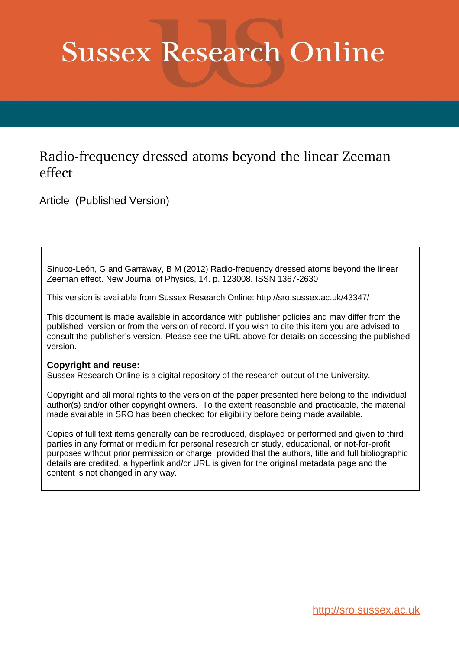# **Sussex Research Online**

### Radio-frequency dressed atoms beyond the linear Zeeman effect

Article (Published Version)

Sinuco-León, G and Garraway, B M (2012) Radio-frequency dressed atoms beyond the linear Zeeman effect. New Journal of Physics, 14. p. 123008. ISSN 1367-2630

This version is available from Sussex Research Online: http://sro.sussex.ac.uk/43347/

This document is made available in accordance with publisher policies and may differ from the published version or from the version of record. If you wish to cite this item you are advised to consult the publisher's version. Please see the URL above for details on accessing the published version.

#### **Copyright and reuse:**

Sussex Research Online is a digital repository of the research output of the University.

Copyright and all moral rights to the version of the paper presented here belong to the individual author(s) and/or other copyright owners. To the extent reasonable and practicable, the material made available in SRO has been checked for eligibility before being made available.

Copies of full text items generally can be reproduced, displayed or performed and given to third parties in any format or medium for personal research or study, educational, or not-for-profit purposes without prior permission or charge, provided that the authors, title and full bibliographic details are credited, a hyperlink and/or URL is given for the original metadata page and the content is not changed in any way.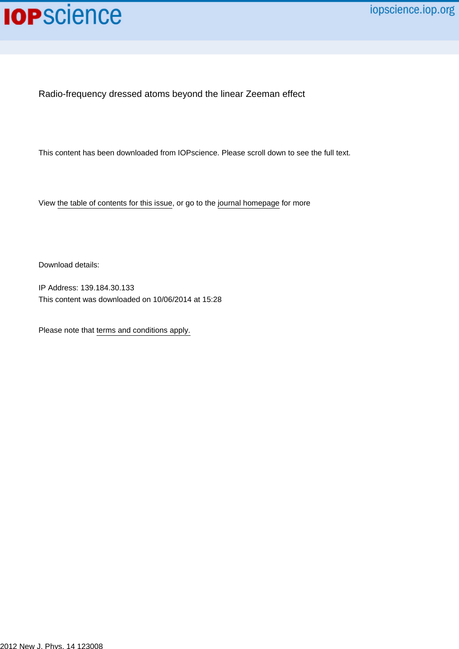

Radio-frequency dressed atoms beyond the linear Zeeman effect

This content has been downloaded from IOPscience. Please scroll down to see the full text.

View [the table of contents for this issue](http://iopscience.iop.org/1367-2630/14/12), or go to the [journal homepage](http://iopscience.iop.org/1367-2630) for more

Download details:

IP Address: 139.184.30.133 This content was downloaded on 10/06/2014 at 15:28

Please note that [terms and conditions apply.](iopscience.iop.org/page/terms)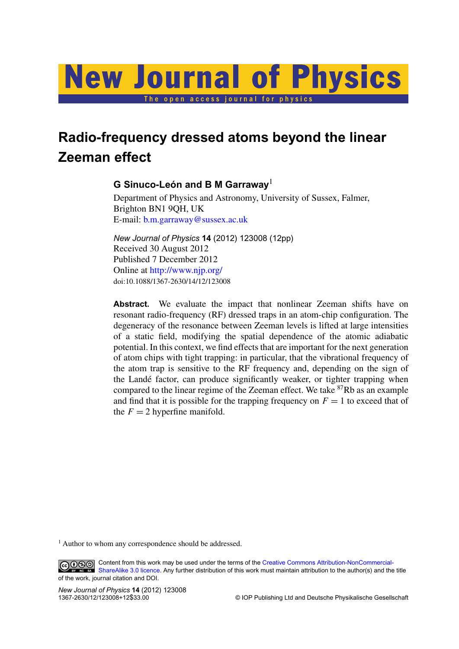# <span id="page-2-0"></span>**New Journal of Physics** The open access journal for physics

## **Radio-frequency dressed atoms beyond the linear Zeeman effect**

#### ${\bf G}$  Sinuco-León and B M Garraway $^1$

Department of Physics and Astronomy, University of Sussex, Falmer, Brighton BN1 9QH, UK E-mail: [b.m.garraway@sussex.ac.uk](mailto:b.m.garraway@sussex.ac.uk)

*New Journal of Physics* **14** (2012) 123008 (12pp) Received 30 August 2012 Published 7 December 2012 Online at <http://www.njp.org/> doi:10.1088/1367-2630/14/12/123008

Abstract. We evaluate the impact that nonlinear Zeeman shifts have on resonant radio-frequency (RF) dressed traps in an atom-chip configuration. The degeneracy of the resonance between Zeeman levels is lifted at large intensities of a static field, modifying the spatial dependence of the atomic adiabatic potential. In this context, we find effects that are important for the next generation of atom chips with tight trapping: in particular, that the vibrational frequency of the atom trap is sensitive to the RF frequency and, depending on the sign of the Lande factor, can produce significantly weaker, or tighter trapping when ´ compared to the linear regime of the Zeeman effect. We take <sup>87</sup>Rb as an example and find that it is possible for the trapping frequency on  $F = 1$  to exceed that of the  $F = 2$  hyperfine manifold.

<sup>1</sup> Author to whom any correspondence should be addressed.

Content from this work may be used under the terms of the [Creative Commons Attribution-NonCommercial-](http://creativecommons.org/licenses/by-nc-sa/3.0)[ShareAlike 3.0 licence.](http://creativecommons.org/licenses/by-nc-sa/3.0) Any further distribution of this work must maintain attribution to the author(s) and the title of the work, journal citation and DOI.

*New Journal of Physics* **14** (2012) 123008

 $©$  IOP Publishing Ltd and Deutsche Physikalische Gesellschaft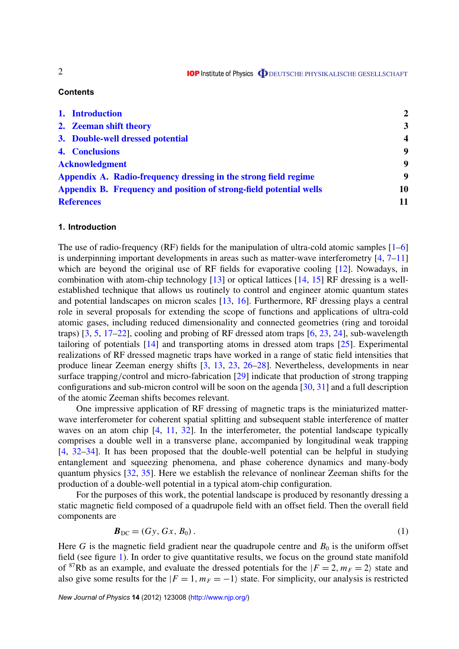#### **Contents**

| 1. Introduction                                                    | $\mathbf{2}$     |
|--------------------------------------------------------------------|------------------|
| 2. Zeeman shift theory                                             | 3                |
| 3. Double-well dressed potential                                   | $\boldsymbol{4}$ |
| 4. Conclusions                                                     | 9                |
| <b>Acknowledgment</b>                                              | 9                |
| Appendix A. Radio-frequency dressing in the strong field regime    | 9                |
| Appendix B. Frequency and position of strong-field potential wells | 10               |
| <b>References</b>                                                  | 11               |

#### **1. Introduction**

The use of radio-frequency (RF) fields for the manipulation of ultra-cold atomic samples  $[1-6]$  $[1-6]$ is underpinning important developments in areas such as matter-wave interferometry  $[4, 7-11]$  $[4, 7-11]$ which are beyond the original use of RF fields for evaporative cooling [\[12\]](#page-12-0). Nowadays, in combination with atom-chip technology  $[13]$  or optical lattices  $[14, 15]$  $[14, 15]$  RF dressing is a wellestablished technique that allows us routinely to control and engineer atomic quantum states and potential landscapes on micron scales [\[13,](#page-12-0) [16\]](#page-12-0). Furthermore, RF dressing plays a central role in several proposals for extending the scope of functions and applications of ultra-cold atomic gases, including reduced dimensionality and connected geometries (ring and toroidal traps) [\[3,](#page-11-0) [5,](#page-12-0) [17–22\]](#page-12-0), cooling and probing of RF dressed atom traps [\[6,](#page-12-0) [23,](#page-12-0) [24\]](#page-12-0), sub-wavelength tailoring of potentials [\[14\]](#page-12-0) and transporting atoms in dressed atom traps [\[25\]](#page-12-0). Experimental realizations of RF dressed magnetic traps have worked in a range of static field intensities that produce linear Zeeman energy shifts [\[3,](#page-11-0) [13,](#page-12-0) [23,](#page-12-0) [26–28\]](#page-12-0). Nevertheless, developments in near surface trapping/control and micro-fabrication [\[29\]](#page-12-0) indicate that production of strong trapping configurations and sub-micron control will be soon on the agenda [\[30,](#page-12-0) [31\]](#page-12-0) and a full description of the atomic Zeeman shifts becomes relevant.

One impressive application of RF dressing of magnetic traps is the miniaturized matterwave interferometer for coherent spatial splitting and subsequent stable interference of matter waves on an atom chip [\[4,](#page-12-0) [11,](#page-12-0) [32\]](#page-12-0). In the interferometer, the potential landscape typically comprises a double well in a transverse plane, accompanied by longitudinal weak trapping [\[4,](#page-12-0) [32–34\]](#page-12-0). It has been proposed that the double-well potential can be helpful in studying entanglement and squeezing phenomena, and phase coherence dynamics and many-body quantum physics [\[32,](#page-12-0) [35\]](#page-12-0). Here we establish the relevance of nonlinear Zeeman shifts for the production of a double-well potential in a typical atom-chip configuration.

For the purposes of this work, the potential landscape is produced by resonantly dressing a static magnetic field composed of a quadrupole field with an offset field. Then the overall field components are

$$
\boldsymbol{B}_{\rm DC} = (G\mathbf{y}, G\mathbf{x}, B_0). \tag{1}
$$

Here *G* is the magnetic field gradient near the quadrupole centre and  $B_0$  is the uniform offset field (see figure 1). In order to give quantitative results, we focus on the ground state manifold of <sup>87</sup>Rb as an example, and evaluate the dressed potentials for the  $|F = 2, m<sub>F</sub> = 2|$  state and also give some results for the  $|F = 1, m_F = -1\rangle$  state. For simplicity, our analysis is restricted

*New Journal of Physics* **14** (2012) 123008 [\(http://www.njp.org/\)](http://www.njp.org/)

<span id="page-3-0"></span>2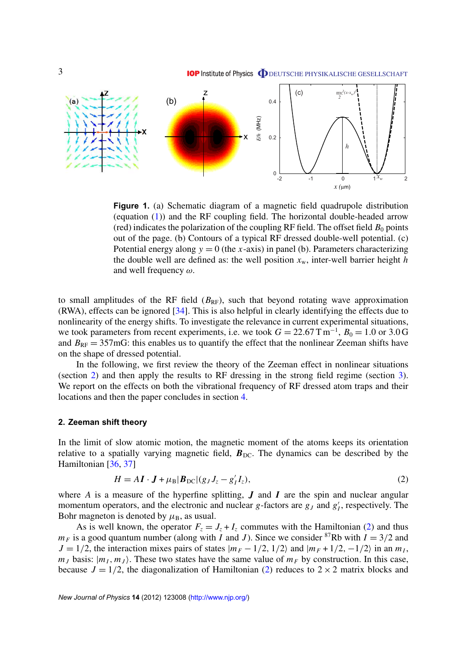

<span id="page-4-0"></span>

**Figure 1.** (a) Schematic diagram of a magnetic field quadrupole distribution (equation [\(1\)](#page-2-0)) and the RF coupling field. The horizontal double-headed arrow (red) indicates the polarization of the coupling RF field. The offset field  $B_0$  points out of the page. (b) Contours of a typical RF dressed double-well potential. (c) Potential energy along  $y = 0$  (the *x*-axis) in panel (b). Parameters characterizing the double well are defined as: the well position  $x_w$ , inter-well barrier height *h* and well frequency  $\omega$ .

to small amplitudes of the RF field  $(B_{RF})$ , such that beyond rotating wave approximation (RWA), effects can be ignored [\[34\]](#page-12-0). This is also helpful in clearly identifying the effects due to nonlinearity of the energy shifts. To investigate the relevance in current experimental situations, we took parameters from recent experiments, i.e. we took  $G = 22.67 \text{ T m}^{-1}$ ,  $B_0 = 1.0 \text{ or } 3.0 \text{ G}$ and  $B_{RF} = 357 \text{mG}$ : this enables us to quantify the effect that the nonlinear Zeeman shifts have on the shape of dressed potential.

In the following, we first review the theory of the Zeeman effect in nonlinear situations (section [2\)](#page-3-0) and then apply the results to RF dressing in the strong field regime (section 3). We report on the effects on both the vibrational frequency of RF dressed atom traps and their locations and then the paper concludes in section [4.](#page-9-0)

#### **2. Zeeman shift theory**

In the limit of slow atomic motion, the magnetic moment of the atoms keeps its orientation relative to a spatially varying magnetic field,  $B_{DC}$ . The dynamics can be described by the Hamiltonian [\[36,](#page-12-0) [37\]](#page-12-0)

$$
H = A\mathbf{I} \cdot \mathbf{J} + \mu_{\text{B}} |\mathbf{B}_{\text{DC}}| (g_J J_z - g_I' I_z), \tag{2}
$$

where *A* is a measure of the hyperfine splitting, *J* and *I* are the spin and nuclear angular momentum operators, and the electronic and nuclear  $g$ -factors are  $g_J$  and  $g'_J$ , respectively. The Bohr magneton is denoted by  $\mu_B$ , as usual.

As is well known, the operator  $F_z = J_z + I_z$  commutes with the Hamiltonian [\(2\)](#page-3-0) and thus  $m_F$  is a good quantum number (along with *I* and *J*). Since we consider <sup>87</sup>Rb with  $I = 3/2$  and  $J = 1/2$ , the interaction mixes pairs of states  $|m_F - 1/2, 1/2\rangle$  and  $|m_F + 1/2, -1/2\rangle$  in an  $m_I$ ,  $m<sub>J</sub>$  basis:  $|m<sub>I</sub>, m<sub>J</sub>$ . These two states have the same value of  $m<sub>F</sub>$  by construction. In this case, because  $J = 1/2$ , the diagonalization of Hamiltonian [\(2\)](#page-3-0) reduces to  $2 \times 2$  matrix blocks and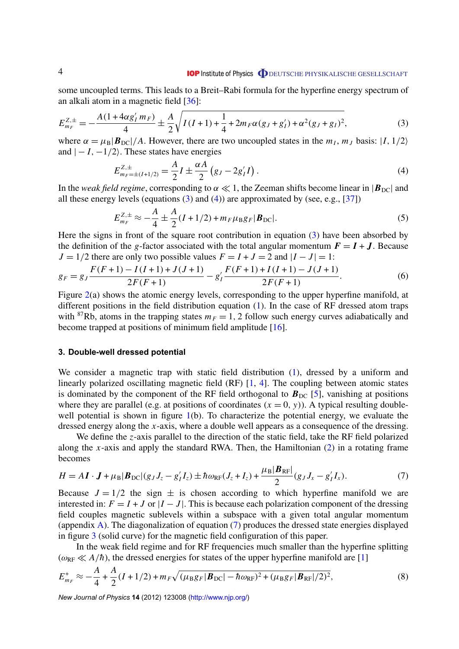#### **IOP** Institute of Physics **ODEUTSCHE PHYSIKALISCHE GESELLSCHAFT**

<span id="page-5-0"></span>some uncoupled terms. This leads to a Breit–Rabi formula for the hyperfine energy spectrum of an alkali atom in a magnetic field [\[36\]](#page-12-0):

$$
E_{m_F}^{Z,\pm} = -\frac{A(1 + 4\alpha g'_I m_F)}{4} \pm \frac{A}{2} \sqrt{I(I+1) + \frac{1}{4} + 2m_F \alpha (g_J + g'_I) + \alpha^2 (g_J + g_I)^2},
$$
(3)

where  $\alpha = \mu_B |\mathbf{B}_{\text{DC}}| / A$ . However, there are two uncoupled states in the  $m_I$ ,  $m_J$  basis:  $|I, 1/2\rangle$ and  $|-I, -1/2\rangle$ . These states have energies

$$
E_{m_F=\pm(I+1/2)}^{Z,\pm} = \frac{A}{2}I \pm \frac{\alpha A}{2} (g_J - 2g'_I I). \tag{4}
$$

In the *weak field regime*, corresponding to  $\alpha \ll 1$ , the Zeeman shifts become linear in  $|\mathbf{B}_{\text{DC}}|$  and all these energy levels (equations [\(3\)](#page-4-0) and [\(4\)](#page-4-0)) are approximated by (see, e.g., [\[37\]](#page-12-0))

$$
E_{m_F}^{Z,\pm} \approx -\frac{A}{4} \pm \frac{A}{2} (I + 1/2) + m_F \mu_B g_F |\mathbf{B}_{\text{DC}}|.
$$
 (5)

Here the signs in front of the square root contribution in equation [\(3\)](#page-4-0) have been absorbed by the definition of the *g*-factor associated with the total angular momentum  $\mathbf{F} = \mathbf{I} + \mathbf{J}$ . Because *J* = 1/2 there are only two possible values  $F = I + J = 2$  and  $|I - J| = 1$ :

$$
g_F = g_J \frac{F(F+1) - I(I+1) + J(J+1)}{2F(F+1)} - g'_I \frac{F(F+1) + I(I+1) - J(J+1)}{2F(F+1)}.
$$
(6)

Figure 2(a) shows the atomic energy levels, corresponding to the upper hyperfine manifold, at different positions in the field distribution equation [\(1\)](#page-2-0). In the case of RF dressed atom traps with <sup>87</sup>Rb, atoms in the trapping states  $m_F = 1$ , 2 follow such energy curves adiabatically and become trapped at positions of minimum field amplitude [\[16\]](#page-12-0).

#### **3. Double-well dressed potential**

We consider a magnetic trap with static field distribution [\(1\)](#page-2-0), dressed by a uniform and linearly polarized oscillating magnetic field (RF) [\[1,](#page-11-0) [4\]](#page-12-0). The coupling between atomic states is dominated by the component of the RF field orthogonal to  $\vec{B}_{\text{DC}}$  [\[5\]](#page-12-0), vanishing at positions where they are parallel (e.g. at positions of coordinates  $(x = 0, y)$ ). A typical resulting double-well potential is shown in figure [1\(](#page-3-0)b). To characterize the potential energy, we evaluate the dressed energy along the *x*-axis, where a double well appears as a consequence of the dressing.

We define the *z*-axis parallel to the direction of the static field, take the RF field polarized along the *x*-axis and apply the standard RWA. Then, the Hamiltonian [\(2\)](#page-3-0) in a rotating frame becomes

$$
H = A\mathbf{I} \cdot \mathbf{J} + \mu_{\rm B} |\mathbf{B}_{\rm DC}| (g_J J_z - g_I' I_z) \pm \hbar \omega_{\rm RF} (J_z + I_z) + \frac{\mu_{\rm B} |\mathbf{B}_{\rm RF}|}{2} (g_J J_x - g_I' I_x). \tag{7}
$$

Because  $J = 1/2$  the sign  $\pm$  is chosen according to which hyperfine manifold we are interested in:  $F = I + J$  or  $|I - J|$ . This is because each polarization component of the dressing field couples magnetic sublevels within a subspace with a given total angular momentum (appendix [A\)](#page-9-0). The diagonalization of equation [\(7\)](#page-4-0) produces the dressed state energies displayed in figure [3](#page-6-0) (solid curve) for the magnetic field configuration of this paper.

In the weak field regime and for RF frequencies much smaller than the hyperfine splitting  $(\omega_{RF} \ll A/\hbar)$ , the dressed energies for states of the upper hyperfine manifold are [\[1\]](#page-11-0)

$$
E_{m_F}^+ \approx -\frac{A}{4} + \frac{A}{2}(I + 1/2) + m_F \sqrt{(\mu_B g_F | \mathbf{B}_{\rm DC}| - \hbar \omega_{\rm RF})^2 + (\mu_B g_F | \mathbf{B}_{\rm RF}|/2)^2},\tag{8}
$$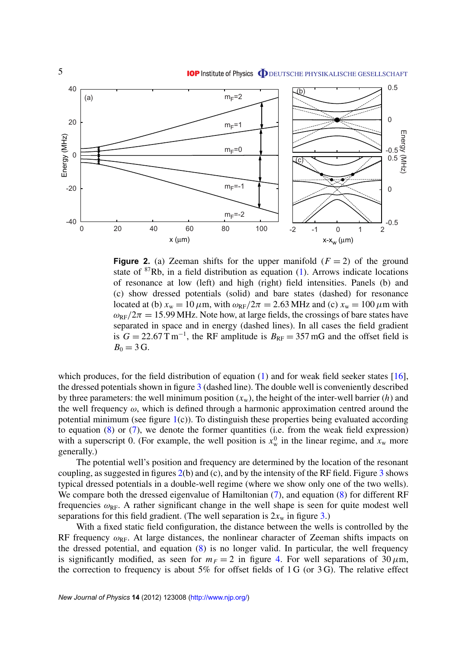<span id="page-6-0"></span>

**Figure 2.** (a) Zeeman shifts for the upper manifold  $(F = 2)$  of the ground state of  ${}^{87}Rb$ , in a field distribution as equation [\(1\)](#page-2-0). Arrows indicate locations of resonance at low (left) and high (right) field intensities. Panels (b) and (c) show dressed potentials (solid) and bare states (dashed) for resonance located at (b)  $x_w = 10 \mu \text{m}$ , with  $\omega_{RF}/2\pi = 2.63 \text{ MHz}$  and (c)  $x_w = 100 \mu \text{m}$  with  $\omega_{\text{RF}}/2\pi = 15.99 \text{ MHz}$ . Note how, at large fields, the crossings of bare states have separated in space and in energy (dashed lines). In all cases the field gradient is  $G = 22.67$  T m<sup>-1</sup>, the RF amplitude is  $B_{RF} = 357$  mG and the offset field is  $B_0 = 3 \text{ G}.$ 

which produces, for the field distribution of equation [\(1\)](#page-2-0) and for weak field seeker states [\[16\]](#page-12-0), the dressed potentials shown in figure 3 (dashed line). The double well is conveniently described by three parameters: the well minimum position  $(x_w)$ , the height of the inter-well barrier  $(h)$  and the well frequency  $\omega$ , which is defined through a harmonic approximation centred around the potential minimum (see figure  $1(c)$  $1(c)$ ). To distinguish these properties being evaluated according to equation  $(8)$  or  $(7)$ , we denote the former quantities (i.e. from the weak field expression) with a superscript 0. (For example, the well position is  $x_w^0$  in the linear regime, and  $x_w$  more generally.)

The potential well's position and frequency are determined by the location of the resonant coupling, as suggested in figures  $2(b)$  $2(b)$  and (c), and by the intensity of the RF field. Figure 3 shows typical dressed potentials in a double-well regime (where we show only one of the two wells). We compare both the dressed eigenvalue of Hamiltonian [\(7\)](#page-4-0), and equation [\(8\)](#page-4-0) for different RF frequencies  $\omega_{RF}$ . A rather significant change in the well shape is seen for quite modest well separations for this field gradient. (The well separation is  $2x_w$  in figure 3.)

With a fixed static field configuration, the distance between the wells is controlled by the RF frequency  $\omega_{\text{RF}}$ . At large distances, the nonlinear character of Zeeman shifts impacts on the dressed potential, and equation [\(8\)](#page-4-0) is no longer valid. In particular, the well frequency is significantly modified, as seen for  $m_F = 2$  in figure 4. For well separations of 30  $\mu$ m, the correction to frequency is about  $5\%$  for offset fields of 1 G (or 3 G). The relative effect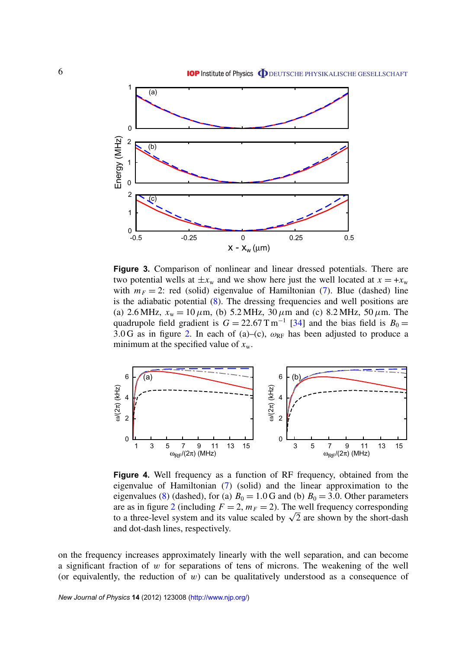<span id="page-7-0"></span>

**Figure 3.** Comparison of nonlinear and linear dressed potentials. There are two potential wells at  $\pm x_w$  and we show here just the well located at  $x = +x_w$ with  $m_F = 2$ : red (solid) eigenvalue of Hamiltonian [\(7\)](#page-4-0). Blue (dashed) line is the adiabatic potential [\(8\)](#page-4-0). The dressing frequencies and well positions are (a) 2.6 MHz,  $x_w = 10 \mu \text{m}$ , (b) 5.2 MHz, 30  $\mu \text{m}$  and (c) 8.2 MHz, 50  $\mu \text{m}$ . The quadrupole field gradient is  $G = 22.67 \text{ T m}^{-1}$  [\[34\]](#page-12-0) and the bias field is  $B_0 =$ 3.0 G as in figure [2.](#page-5-0) In each of (a)–(c),  $\omega_{RF}$  has been adjusted to produce a minimum at the specified value of  $x_w$ .



**Figure 4.** Well frequency as a function of RF frequency, obtained from the eigenvalue of Hamiltonian [\(7\)](#page-4-0) (solid) and the linear approximation to the eigenvalues [\(8\)](#page-4-0) (dashed), for (a)  $B_0 = 1.0$  G and (b)  $B_0 = 3.0$ . Other parameters are as in figure [2](#page-5-0) (including  $F = 2$ ,  $m_F = 2$ ). The well frequency corresponding to a three-level system and its value scaled by  $\sqrt{2}$  are shown by the short-dash and dot-dash lines, respectively.

on the frequency increases approximately linearly with the well separation, and can become a significant fraction of  $w$  for separations of tens of microns. The weakening of the well (or equivalently, the reduction of  $w$ ) can be qualitatively understood as a consequence of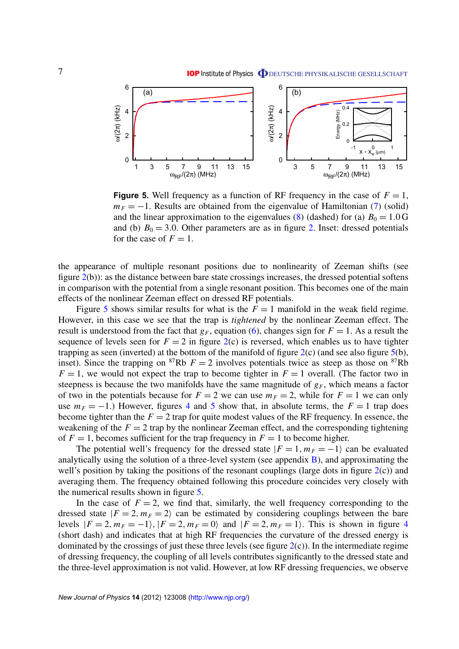<span id="page-8-0"></span>

**Figure 5.** Well frequency as a function of RF frequency in the case of  $F = 1$ ,  $m_F = -1$ . Results are obtained from the eigenvalue of Hamiltonian [\(7\)](#page-4-0) (solid) and the linear approximation to the eigenvalues [\(8\)](#page-4-0) (dashed) for (a)  $B_0 = 1.0$  G and (b)  $B_0 = 3.0$ . Other parameters are as in figure [2.](#page-5-0) Inset: dressed potentials for the case of  $F = 1$ .

the appearance of multiple resonant positions due to nonlinearity of Zeeman shifts (see figure [2\(](#page-5-0)b)): as the distance between bare state crossings increases, the dressed potential softens in comparison with the potential from a single resonant position. This becomes one of the main effects of the nonlinear Zeeman effect on dressed RF potentials.

Figure [5](#page-7-0) shows similar results for what is the  $F = 1$  manifold in the weak field regime. However, in this case we see that the trap is *tightened* by the nonlinear Zeeman effect. The result is understood from the fact that  $g_F$ , equation [\(6\)](#page-4-0), changes sign for  $F = 1$ . As a result the sequence of levels seen for  $F = 2$  in figure  $2(c)$  $2(c)$  is reversed, which enables us to have tighter trapping as seen (inverted) at the bottom of the manifold of figure  $2(c)$  $2(c)$  (and see also figure  $5(b)$  $5(b)$ , inset). Since the trapping on <sup>87</sup>Rb  $F = 2$  involves potentials twice as steep as those on <sup>87</sup>Rb  $F = 1$ , we would not expect the trap to become tighter in  $F = 1$  overall. (The factor two in steepness is because the two manifolds have the same magnitude of  $g_F$ , which means a factor of two in the potentials because for  $F = 2$  we can use  $m_F = 2$ , while for  $F = 1$  we can only use  $m_F = -1$ .) However, figures [4](#page-6-0) and [5](#page-7-0) show that, in absolute terms, the  $F = 1$  trap does become tighter than the  $F = 2$  trap for quite modest values of the RF frequency. In essence, the weakening of the  $F = 2$  trap by the nonlinear Zeeman effect, and the corresponding tightening of  $F = 1$ , becomes sufficient for the trap frequency in  $F = 1$  to become higher.

The potential well's frequency for the dressed state  $|F = 1, m_F = -1\rangle$  can be evaluated analytically using the solution of a three-level system (see appendix  $\bf{B}$ ), and approximating the well's position by taking the positions of the resonant couplings (large dots in figure  $2(c)$  $2(c)$ ) and averaging them. The frequency obtained following this procedure coincides very closely with the numerical results shown in figure [5.](#page-7-0)

In the case of  $F = 2$ , we find that, similarly, the well frequency corresponding to the dressed state  $|F = 2, m_F = 2\rangle$  can be estimated by considering couplings between the bare levels  $|F = 2, m_F = -1$ ,  $|F = 2, m_F = 0$  and  $|F = 2, m_F = 1$ . This is shown in figure [4](#page-6-0) (short dash) and indicates that at high RF frequencies the curvature of the dressed energy is dominated by the crossings of just these three levels (see figure  $2(c)$  $2(c)$ ). In the intermediate regime of dressing frequency, the coupling of all levels contributes significantly to the dressed state and the three-level approximation is not valid. However, at low RF dressing frequencies, we observe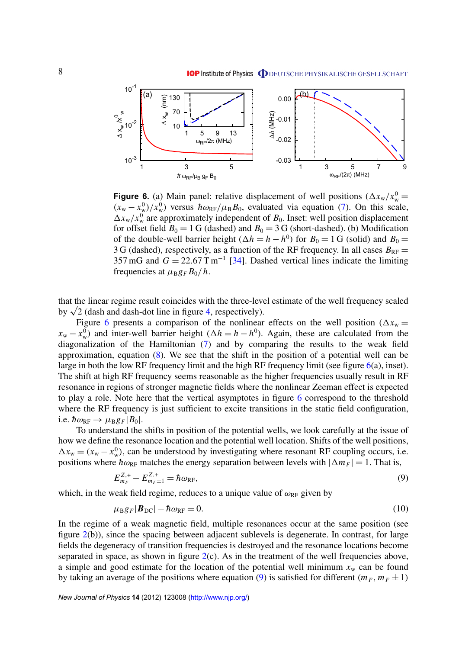<span id="page-9-0"></span>

**Figure 6.** (a) Main panel: relative displacement of well positions  $(\Delta x_{\rm w}/x_{\rm w}^0 =$  $(x_w - x_w^0)/x_w^0$  versus  $\hbar \omega_{RF}/\mu_B B_0$ , evaluated via equation [\(7\)](#page-4-0). On this scale,  $\Delta x_{\rm w}/x_{\rm w}^0$  are approximately independent of  $B_0$ . Inset: well position displacement for offset field  $B_0 = 1$  G (dashed) and  $B_0 = 3$  G (short-dashed). (b) Modification of the double-well barrier height  $(\Delta h = h - h^0)$  for  $B_0 = 1$  G (solid) and  $B_0 =$ 3 G (dashed), respectively, as a function of the RF frequency. In all cases  $B_{RF}$  = 357 mG and  $G = 22.67$  T m<sup>-1</sup> [\[34\]](#page-12-0). Dashed vertical lines indicate the limiting frequencies at  $\mu_B g_F B_0/h$ .

that the linear regime result coincides with the three-level estimate of the well frequency scaled by  $\sqrt{2}$  (dash and dash-dot line in figure [4,](#page-6-0) respectively).

Figure [6](#page-8-0) presents a comparison of the nonlinear effects on the well position ( $\Delta x_w$  =  $x_w - x_w^0$ ) and inter-well barrier height ( $\Delta h = h - h^0$ ). Again, these are calculated from the diagonalization of the Hamiltonian [\(7\)](#page-4-0) and by comparing the results to the weak field approximation, equation  $(8)$ . We see that the shift in the position of a potential well can be large in both the low RF frequency limit and the high RF frequency limit (see figure  $6(a)$  $6(a)$ , inset). The shift at high RF frequency seems reasonable as the higher frequencies usually result in RF resonance in regions of stronger magnetic fields where the nonlinear Zeeman effect is expected to play a role. Note here that the vertical asymptotes in figure [6](#page-8-0) correspond to the threshold where the RF frequency is just sufficient to excite transitions in the static field configuration, i.e.  $\hbar \omega_{\text{RF}} \rightarrow \mu_{\text{B}} g_F |B_0|$ .

To understand the shifts in position of the potential wells, we look carefully at the issue of how we define the resonance location and the potential well location. Shifts of the well positions,  $\Delta x_w = (x_w - x_w^0)$ , can be understood by investigating where resonant RF coupling occurs, i.e. positions where  $\hbar \omega_{RF}$  matches the energy separation between levels with  $|\Delta m_F| = 1$ . That is,

$$
E_{m_F}^{Z,+} - E_{m_F \pm 1}^{Z,+} = \hbar \omega_{\rm RF},\tag{9}
$$

which, in the weak field regime, reduces to a unique value of  $\omega_{RF}$  given by

$$
\mu_{\rm B}g_F|\boldsymbol{B}_{\rm DC}|-\hbar\omega_{\rm RF}=0.\tag{10}
$$

In the regime of a weak magnetic field, multiple resonances occur at the same position (see figure [2\(](#page-5-0)b)), since the spacing between adjacent sublevels is degenerate. In contrast, for large fields the degeneracy of transition frequencies is destroyed and the resonance locations become separated in space, as shown in figure  $2(c)$  $2(c)$ . As in the treatment of the well frequencies above, a simple and good estimate for the location of the potential well minimum  $x_w$  can be found by taking an average of the positions where equation [\(9\)](#page-8-0) is satisfied for different  $(m_F, m_F \pm 1)$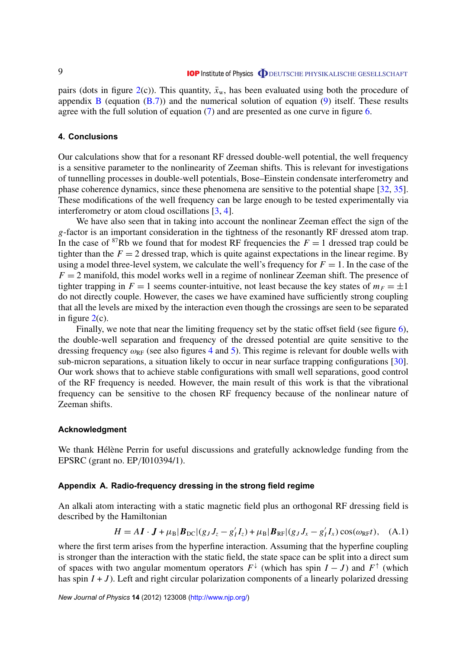<span id="page-10-0"></span>pairs (dots in figure  $2(c)$  $2(c)$ ). This quantity,  $\bar{x}_w$ , has been evaluated using both the procedure of appendix B (equation  $(B.7)$ ) and the numerical solution of equation [\(9\)](#page-8-0) itself. These results agree with the full solution of equation [\(7\)](#page-4-0) and are presented as one curve in figure [6.](#page-8-0)

#### **4. Conclusions**

Our calculations show that for a resonant RF dressed double-well potential, the well frequency is a sensitive parameter to the nonlinearity of Zeeman shifts. This is relevant for investigations of tunnelling processes in double-well potentials, Bose–Einstein condensate interferometry and phase coherence dynamics, since these phenomena are sensitive to the potential shape [\[32,](#page-12-0) [35\]](#page-12-0). These modifications of the well frequency can be large enough to be tested experimentally via interferometry or atom cloud oscillations [\[3,](#page-11-0) [4\]](#page-12-0).

We have also seen that in taking into account the nonlinear Zeeman effect the sign of the *g*-factor is an important consideration in the tightness of the resonantly RF dressed atom trap. In the case of <sup>87</sup>Rb we found that for modest RF frequencies the  $F = 1$  dressed trap could be tighter than the  $F = 2$  dressed trap, which is quite against expectations in the linear regime. By using a model three-level system, we calculate the well's frequency for  $F = 1$ . In the case of the  $F = 2$  manifold, this model works well in a regime of nonlinear Zeeman shift. The presence of tighter trapping in  $F = 1$  seems counter-intuitive, not least because the key states of  $m_F = \pm 1$ do not directly couple. However, the cases we have examined have sufficiently strong coupling that all the levels are mixed by the interaction even though the crossings are seen to be separated in figure  $2(c)$  $2(c)$ .

Finally, we note that near the limiting frequency set by the static offset field (see figure [6\)](#page-8-0), the double-well separation and frequency of the dressed potential are quite sensitive to the dressing frequency  $\omega_{RF}$  (see also figures [4](#page-6-0) and [5\)](#page-7-0). This regime is relevant for double wells with sub-micron separations, a situation likely to occur in near surface trapping configurations [\[30\]](#page-12-0). Our work shows that to achieve stable configurations with small well separations, good control of the RF frequency is needed. However, the main result of this work is that the vibrational frequency can be sensitive to the chosen RF frequency because of the nonlinear nature of Zeeman shifts.

#### **Acknowledgment**

We thank Hélène Perrin for useful discussions and gratefully acknowledge funding from the EPSRC (grant no. EP/I010394/1).

#### **Appendix A. Radio-frequency dressing in the strong field regime**

An alkali atom interacting with a static magnetic field plus an orthogonal RF dressing field is described by the Hamiltonian

$$
H = A\mathbf{I} \cdot \mathbf{J} + \mu_\text{B} |\mathbf{B}_{\text{DC}}| (g_J J_z - g_I' I_z) + \mu_\text{B} |\mathbf{B}_{\text{RF}}| (g_J J_x - g_I' I_x) \cos(\omega_{\text{RF}} t), \quad \text{(A.1)}
$$

where the first term arises from the hyperfine interaction. Assuming that the hyperfine coupling is stronger than the interaction with the static field, the state space can be split into a direct sum of spaces with two angular momentum operators  $F^{\downarrow}$  (which has spin  $I - J$ ) and  $F^{\uparrow}$  (which has spin  $I + J$ ). Left and right circular polarization components of a linearly polarized dressing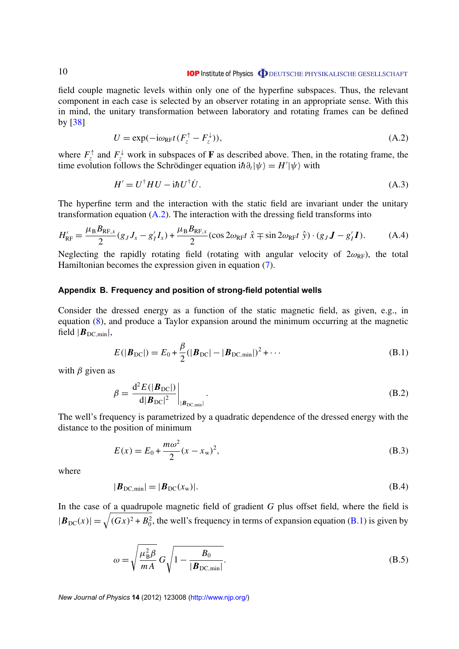<span id="page-11-0"></span>field couple magnetic levels within only one of the hyperfine subspaces. Thus, the relevant component in each case is selected by an observer rotating in an appropriate sense. With this in mind, the unitary transformation between laboratory and rotating frames can be defined by [\[38\]](#page-12-0)

$$
U = \exp(-i\omega_{RF}t(F_z^{\uparrow} - F_z^{\downarrow})), \tag{A.2}
$$

where  $F_z^{\uparrow}$  and  $F_z^{\downarrow}$  work in subspaces of **F** as described above. Then, in the rotating frame, the time evolution follows the Schrödinger equation  $i\hbar \partial_t |\psi\rangle = H'|\psi\rangle$  with

$$
H' = U^{\dagger} H U - i\hbar U^{\dagger} U. \tag{A.3}
$$

The hyperfine term and the interaction with the static field are invariant under the unitary transformation equation  $(A.2)$ . The interaction with the dressing field transforms into

$$
H'_{\rm RF} = \frac{\mu_{\rm B} B_{\rm RF,x}}{2} (g_J J_x - g'_I I_x) + \frac{\mu_{\rm B} B_{\rm RF,x}}{2} (\cos 2\omega_{\rm RF} t \hat{x} \mp \sin 2\omega_{\rm RF} t \hat{y}) \cdot (g_J J - g'_I I). \tag{A.4}
$$

Neglecting the rapidly rotating field (rotating with angular velocity of  $2\omega_{RF}$ ), the total Hamiltonian becomes the expression given in equation [\(7\)](#page-4-0).

#### **Appendix B. Frequency and position of strong-field potential wells**

Consider the dressed energy as a function of the static magnetic field, as given, e.g., in equation [\(8\)](#page-4-0), and produce a Taylor expansion around the minimum occurring at the magnetic field  $|B_{DC,min}|$ ,

$$
E(|\boldsymbol{B}_{\rm DC}|) = E_0 + \frac{\beta}{2} (|\boldsymbol{B}_{\rm DC}| - |\boldsymbol{B}_{\rm DC,min}|)^2 + \cdots
$$
 (B.1)

with  $\beta$  given as

$$
\beta = \frac{\mathrm{d}^2 E(|\boldsymbol{B}_{\mathrm{DC}}|)}{\mathrm{d}|\boldsymbol{B}_{\mathrm{DC}}|^2}\bigg|_{|\boldsymbol{B}_{\mathrm{DC,min}}|}.
$$
\n(B.2)

The well's frequency is parametrized by a quadratic dependence of the dressed energy with the distance to the position of minimum

$$
E(x) = E_0 + \frac{m\omega^2}{2}(x - x_w)^2,
$$
 (B.3)

where

$$
|\boldsymbol{B}_{\text{DC,min}}| = |\boldsymbol{B}_{\text{DC}}(x_{\text{w}})|. \tag{B.4}
$$

In the case of a quadrupole magnetic field of gradient *G* plus offset field, where the field is  $|\mathbf{B}_{\text{DC}}(x)| = \sqrt{(Gx)^2 + B_0^2}$ , the well's frequency in terms of expansion equation [\(B.1\)](#page-10-0) is given by

$$
\omega = \sqrt{\frac{\mu_B^2 \beta}{m A}} G \sqrt{1 - \frac{B_0}{|\mathbf{B}_{\text{DC,min}}|}}.
$$
\n(B.5)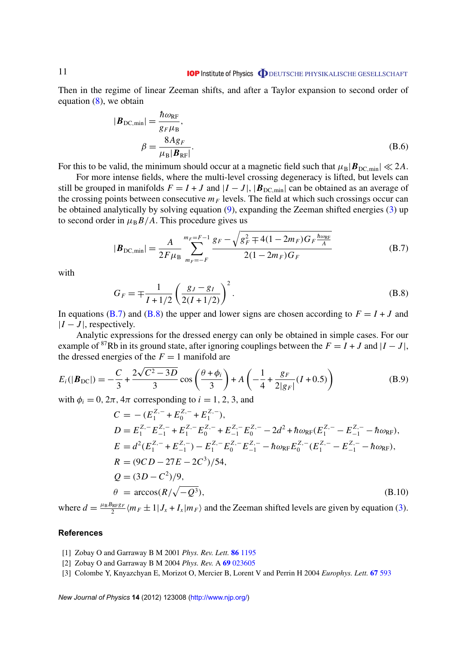#### **IOP** Institute of Physics **ODEUTSCHE PHYSIKALISCHE GESELLSCHAFT**

<span id="page-12-0"></span>Then in the regime of linear Zeeman shifts, and after a Taylor expansion to second order of equation [\(8\)](#page-4-0), we obtain

$$
|\boldsymbol{B}_{\text{DC,min}}| = \frac{\hbar \omega_{\text{RF}}}{g_F \mu_{\text{B}}},
$$
  

$$
\beta = \frac{8Ag_F}{\mu_{\text{B}}|\boldsymbol{B}_{\text{RF}}|}.
$$
 (B.6)

For this to be valid, the minimum should occur at a magnetic field such that  $\mu_B|\mathbf{B}_{DC,min}| \ll 2A$ .

For more intense fields, where the multi-level crossing degeneracy is lifted, but levels can still be grouped in manifolds  $F = I + J$  and  $|I - J|$ ,  $|B_{DC,min}|$  can be obtained as an average of the crossing points between consecutive  $m_F$  levels. The field at which such crossings occur can be obtained analytically by solving equation [\(9\)](#page-8-0), expanding the Zeeman shifted energies [\(3\)](#page-4-0) up to second order in  $\mu_B B/A$ . This procedure gives us

$$
|\boldsymbol{B}_{\text{DC,min}}| = \frac{A}{2F\mu_{\text{B}}} \sum_{m_F=-F}^{m_F=F-1} \frac{g_F - \sqrt{g_F^2 + 4(1 - 2m_F)G_F \frac{\hbar \omega_{\text{RF}}}{A}}}{2(1 - 2m_F)G_F}
$$
(B.7)

with

$$
G_F = \mp \frac{1}{I + 1/2} \left( \frac{g_J - g_I}{2(I + 1/2)} \right)^2.
$$
 (B.8)

In equations [\(B.7\)](#page-11-0) and [\(B.8\)](#page-11-0) the upper and lower signs are chosen according to  $F = I + J$  and  $|I - J|$ , respectively.

Analytic expressions for the dressed energy can only be obtained in simple cases. For our example of <sup>87</sup>Rb in its ground state, after ignoring couplings between the  $F = I + J$  and  $|I - J|$ , the dressed energies of the  $F = 1$  manifold are

$$
E_i(|\boldsymbol{B}_{\text{DC}}|) = -\frac{C}{3} + \frac{2\sqrt{C^2 - 3D}}{3}\cos\left(\frac{\theta + \phi_i}{3}\right) + A\left(-\frac{1}{4} + \frac{g_F}{2|g_F|}(I + 0.5)\right)
$$
(B.9)

with  $\phi_i = 0$ ,  $2\pi$ ,  $4\pi$  corresponding to  $i = 1, 2, 3$ , and

$$
C = -(E_1^{Z,-} + E_0^{Z,-} + E_1^{Z,-}),
$$
  
\n
$$
D = E_1^{Z,-} E_{-1}^{Z,-} + E_1^{Z,-} E_0^{Z,-} + E_{-1}^{Z,-} E_0^{Z,-} - 2d^2 + \hbar \omega_{RF} (E_1^{Z,-} - E_{-1}^{Z,-} - \hbar \omega_{RF}),
$$
  
\n
$$
E = d^2 (E_1^{Z,-} + E_{-1}^{Z,-}) - E_1^{Z,-} E_0^{Z,-} E_{-1}^{Z,-} - \hbar \omega_{RF} E_0^{Z,-} (E_1^{Z,-} - E_{-1}^{Z,-} - \hbar \omega_{RF}),
$$
  
\n
$$
R = (9CD - 27E - 2C^3)/54,
$$
  
\n
$$
Q = (3D - C^2)/9,
$$
  
\n
$$
\theta = \arccos(R/\sqrt{-Q^3}),
$$
  
\n(B.10)

where  $d = \frac{\mu_B B_{RFGF}}{2}$  $\frac{4RFSF}{2}$   $\langle m_F \pm 1 | J_x + I_x | m_F \rangle$  and the Zeeman shifted levels are given by equation [\(3\)](#page-4-0).

#### **References**

- [1] Zobay O and Garraway B M 2001 *Phys. Rev. Lett.* **86** [1195](http://dx.doi.org/10.1103/PhysRevLett.86.1195)
- [2] Zobay O and Garraway B M 2004 *Phys. Rev.* A **69** [023605](http://dx.doi.org/10.1103/PhysRevA.69.023605)
- [3] Colombe Y, Knyazchyan E, Morizot O, Mercier B, Lorent V and Perrin H 2004 *Europhys. Lett.* **67** [593](http://dx.doi.org/10.1209/epl/i2004-10095-7)